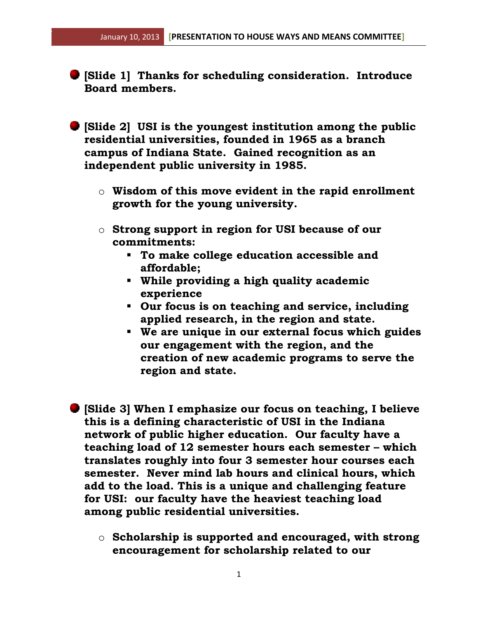- **[Slide 1] Thanks for scheduling consideration. Introduce Board members.**
- **[Slide 2] USI is the youngest institution among the public residential universities, founded in 1965 as a branch campus of Indiana State. Gained recognition as an independent public university in 1985.**
	- o **Wisdom of this move evident in the rapid enrollment growth for the young university.**
	- o **Strong support in region for USI because of our commitments:**
		- **To make college education accessible and affordable;**
		- **While providing a high quality academic experience**
		- **Our focus is on teaching and service, including applied research, in the region and state.**
		- **We are unique in our external focus which guides our engagement with the region, and the creation of new academic programs to serve the region and state.**
- **[Slide 3] When I emphasize our focus on teaching, I believe this is a defining characteristic of USI in the Indiana network of public higher education. Our faculty have a teaching load of 12 semester hours each semester – which translates roughly into four 3 semester hour courses each semester. Never mind lab hours and clinical hours, which add to the load. This is a unique and challenging feature for USI: our faculty have the heaviest teaching load among public residential universities.** 
	- o **Scholarship is supported and encouraged, with strong encouragement for scholarship related to our**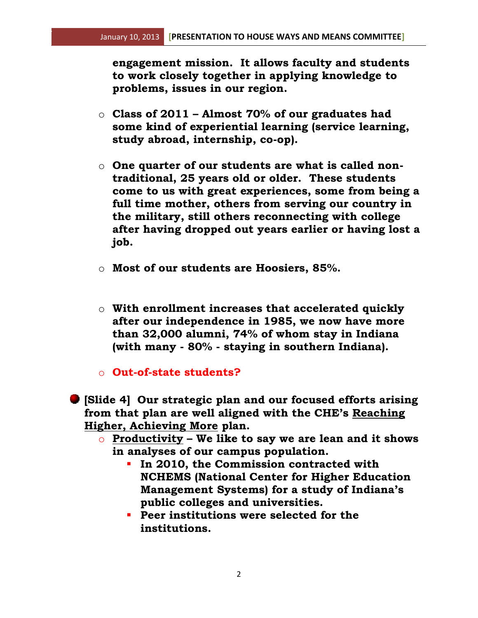**engagement mission. It allows faculty and students to work closely together in applying knowledge to problems, issues in our region.**

- o **Class of 2011 – Almost 70% of our graduates had some kind of experiential learning (service learning, study abroad, internship, co-op).**
- o **One quarter of our students are what is called nontraditional, 25 years old or older. These students come to us with great experiences, some from being a full time mother, others from serving our country in the military, still others reconnecting with college after having dropped out years earlier or having lost a job.**
- o **Most of our students are Hoosiers, 85%.**
- o **With enrollment increases that accelerated quickly after our independence in 1985, we now have more than 32,000 alumni, 74% of whom stay in Indiana (with many - 80% - staying in southern Indiana).**
- o **Out-of-state students?**

**[Slide 4] Our strategic plan and our focused efforts arising from that plan are well aligned with the CHE's Reaching Higher, Achieving More plan.**

- o **Productivity – We like to say we are lean and it shows in analyses of our campus population.**
	- **In 2010, the Commission contracted with NCHEMS (National Center for Higher Education Management Systems) for a study of Indiana's public colleges and universities.**
	- **Peer institutions were selected for the institutions.**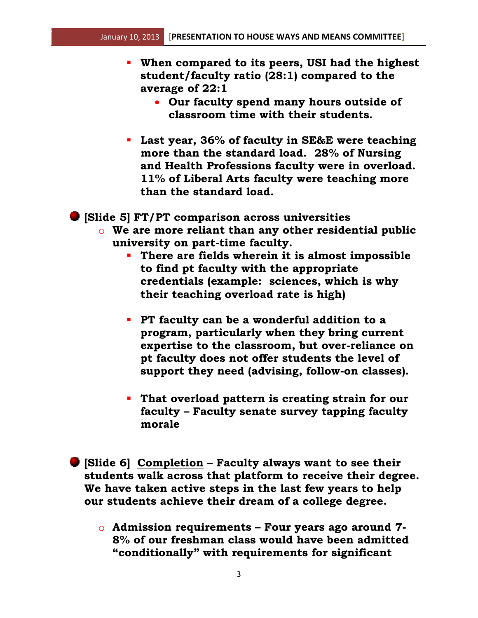- **When compared to its peers, USI had the highest student/faculty ratio (28:1) compared to the average of 22:1**
	- **Our faculty spend many hours outside of classroom time with their students.**
- **Last year, 36% of faculty in SE&E were teaching more than the standard load. 28% of Nursing and Health Professions faculty were in overload. 11% of Liberal Arts faculty were teaching more than the standard load.**

**[Slide 5] FT/PT comparison across universities**

- o **We are more reliant than any other residential public university on part-time faculty.**
	- **There are fields wherein it is almost impossible to find pt faculty with the appropriate credentials (example: sciences, which is why their teaching overload rate is high)**
	- **PT faculty can be a wonderful addition to a program, particularly when they bring current expertise to the classroom, but over-reliance on pt faculty does not offer students the level of support they need (advising, follow-on classes).**
	- **That overload pattern is creating strain for our faculty – Faculty senate survey tapping faculty morale**
- **[Slide 6] Completion – Faculty always want to see their students walk across that platform to receive their degree. We have taken active steps in the last few years to help our students achieve their dream of a college degree.**
	- o **Admission requirements – Four years ago around 7- 8% of our freshman class would have been admitted "conditionally" with requirements for significant**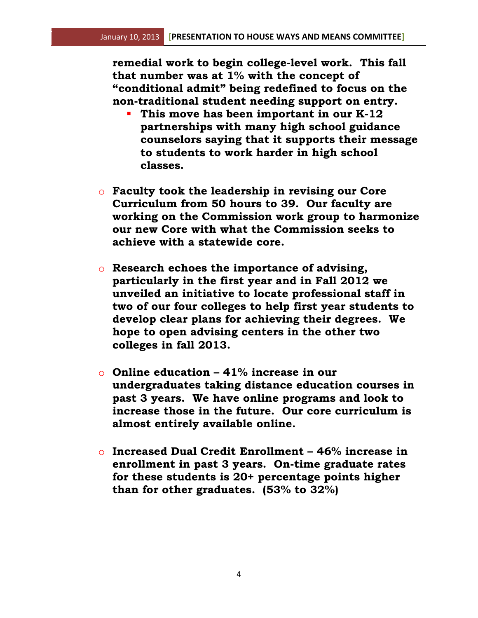**remedial work to begin college-level work. This fall that number was at 1% with the concept of "conditional admit" being redefined to focus on the non-traditional student needing support on entry.**

- **This move has been important in our K-12 partnerships with many high school guidance counselors saying that it supports their message to students to work harder in high school classes.**
- o **Faculty took the leadership in revising our Core Curriculum from 50 hours to 39. Our faculty are working on the Commission work group to harmonize our new Core with what the Commission seeks to achieve with a statewide core.**
- o **Research echoes the importance of advising, particularly in the first year and in Fall 2012 we unveiled an initiative to locate professional staff in two of our four colleges to help first year students to develop clear plans for achieving their degrees. We hope to open advising centers in the other two colleges in fall 2013.**
- o **Online education – 41% increase in our undergraduates taking distance education courses in past 3 years. We have online programs and look to increase those in the future. Our core curriculum is almost entirely available online.**
- o **Increased Dual Credit Enrollment – 46% increase in enrollment in past 3 years. On-time graduate rates for these students is 20+ percentage points higher than for other graduates. (53% to 32%)**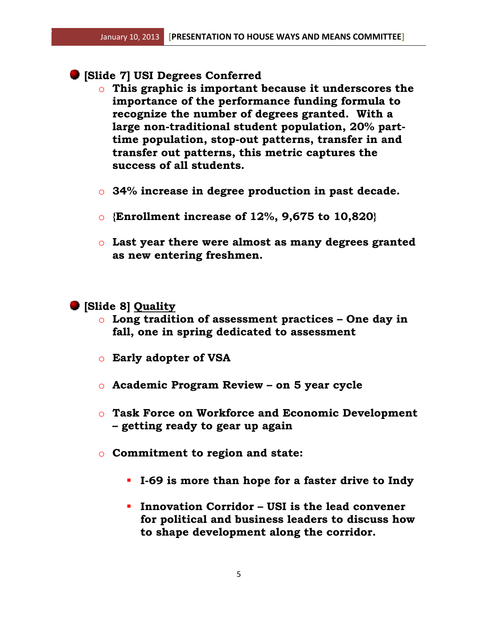- **[Slide 7] USI Degrees Conferred**
	- o **This graphic is important because it underscores the importance of the performance funding formula to recognize the number of degrees granted. With a large non-traditional student population, 20% parttime population, stop-out patterns, transfer in and transfer out patterns, this metric captures the success of all students.**
	- o **34% increase in degree production in past decade.**
	- o **{Enrollment increase of 12%, 9,675 to 10,820}**
	- o **Last year there were almost as many degrees granted as new entering freshmen.**

## **[Slide 8] Quality**

- o **Long tradition of assessment practices – One day in fall, one in spring dedicated to assessment**
- o **Early adopter of VSA**
- o **Academic Program Review – on 5 year cycle**
- o **Task Force on Workforce and Economic Development – getting ready to gear up again**
- o **Commitment to region and state:** 
	- **I-69 is more than hope for a faster drive to Indy**
	- **Innovation Corridor – USI is the lead convener for political and business leaders to discuss how to shape development along the corridor.**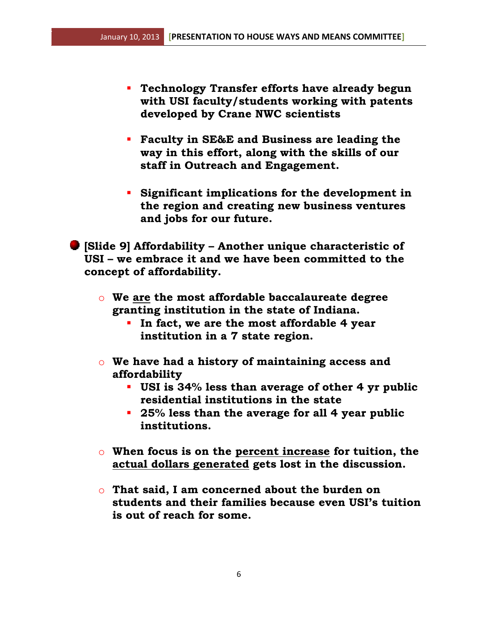- **Technology Transfer efforts have already begun with USI faculty/students working with patents developed by Crane NWC scientists**
- **Faculty in SE&E and Business are leading the way in this effort, along with the skills of our staff in Outreach and Engagement.**
- **Significant implications for the development in the region and creating new business ventures and jobs for our future.**

**[Slide 9] Affordability – Another unique characteristic of USI – we embrace it and we have been committed to the concept of affordability.**

- o **We are the most affordable baccalaureate degree granting institution in the state of Indiana.**
	- **In fact, we are the most affordable 4 year institution in a 7 state region.**
- o **We have had a history of maintaining access and affordability**
	- **USI is 34% less than average of other 4 yr public residential institutions in the state**
	- **25% less than the average for all 4 year public institutions.**
- o **When focus is on the percent increase for tuition, the actual dollars generated gets lost in the discussion.**
- o **That said, I am concerned about the burden on students and their families because even USI's tuition is out of reach for some.**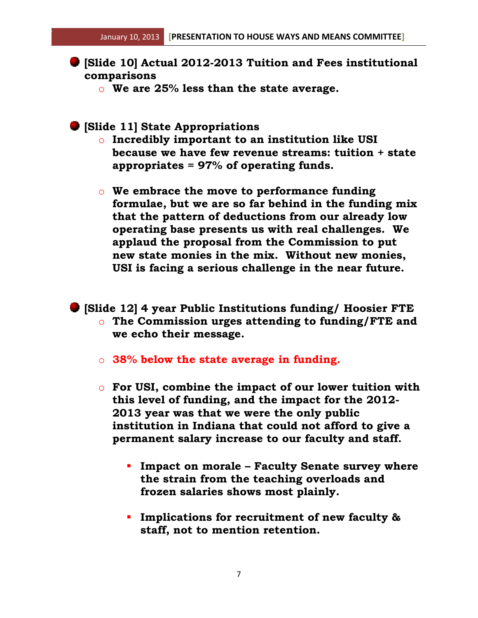- **[Slide 10] Actual 2012-2013 Tuition and Fees institutional comparisons**
	- o **We are 25% less than the state average.**
- **[Slide 11] State Appropriations**
	- o **Incredibly important to an institution like USI because we have few revenue streams: tuition + state appropriates = 97% of operating funds.**
	- o **We embrace the move to performance funding formulae, but we are so far behind in the funding mix that the pattern of deductions from our already low operating base presents us with real challenges. We applaud the proposal from the Commission to put new state monies in the mix. Without new monies, USI is facing a serious challenge in the near future.**
- **[Slide 12] 4 year Public Institutions funding/ Hoosier FTE** o **The Commission urges attending to funding/FTE and we echo their message.**
	- o **38% below the state average in funding.**
	- o **For USI, combine the impact of our lower tuition with this level of funding, and the impact for the 2012- 2013 year was that we were the only public institution in Indiana that could not afford to give a permanent salary increase to our faculty and staff.**
		- **Impact on morale – Faculty Senate survey where the strain from the teaching overloads and frozen salaries shows most plainly.**
		- **Implications for recruitment of new faculty & staff, not to mention retention.**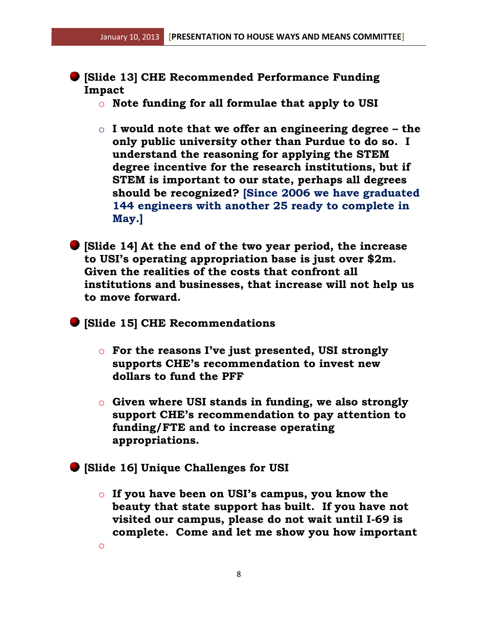- **[Slide 13] CHE Recommended Performance Funding Impact**
	- o **Note funding for all formulae that apply to USI**
	- o **I would note that we offer an engineering degree – the only public university other than Purdue to do so. I understand the reasoning for applying the STEM degree incentive for the research institutions, but if STEM is important to our state, perhaps all degrees should be recognized? [Since 2006 we have graduated 144 engineers with another 25 ready to complete in May.]**
- **[Slide 14] At the end of the two year period, the increase to USI's operating appropriation base is just over \$2m. Given the realities of the costs that confront all institutions and businesses, that increase will not help us to move forward.**
- **[Slide 15] CHE Recommendations**
	- o **For the reasons I've just presented, USI strongly supports CHE's recommendation to invest new dollars to fund the PFF**
	- o **Given where USI stands in funding, we also strongly support CHE's recommendation to pay attention to funding/FTE and to increase operating appropriations.**
- **[Slide 16] Unique Challenges for USI**

o

o **If you have been on USI's campus, you know the beauty that state support has built. If you have not visited our campus, please do not wait until I-69 is complete. Come and let me show you how important**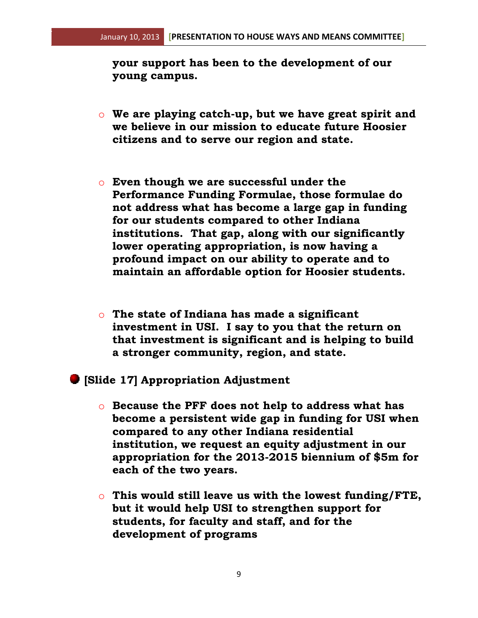**your support has been to the development of our young campus.**

- o **We are playing catch-up, but we have great spirit and we believe in our mission to educate future Hoosier citizens and to serve our region and state.**
- o **Even though we are successful under the Performance Funding Formulae, those formulae do not address what has become a large gap in funding for our students compared to other Indiana institutions. That gap, along with our significantly lower operating appropriation, is now having a profound impact on our ability to operate and to maintain an affordable option for Hoosier students.**
- o **The state of Indiana has made a significant investment in USI. I say to you that the return on that investment is significant and is helping to build a stronger community, region, and state.**
- **[Slide 17] Appropriation Adjustment**
	- o **Because the PFF does not help to address what has become a persistent wide gap in funding for USI when compared to any other Indiana residential institution, we request an equity adjustment in our appropriation for the 2013-2015 biennium of \$5m for each of the two years.**
	- o **This would still leave us with the lowest funding/FTE, but it would help USI to strengthen support for students, for faculty and staff, and for the development of programs**